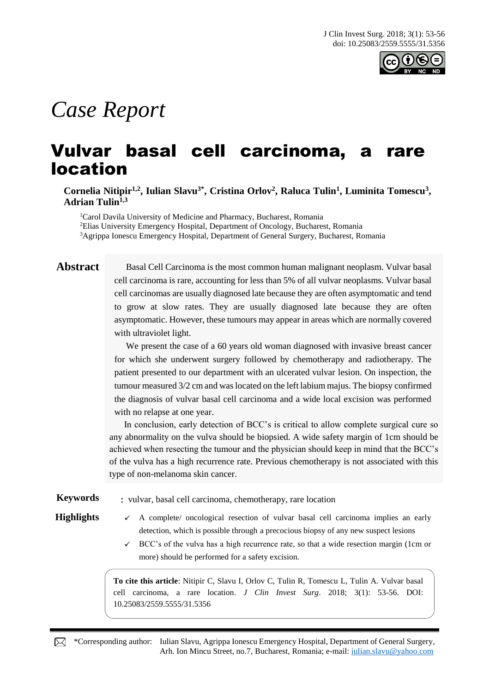

# *Case Report*

## Vulvar basal cell carcinoma, a rare location

**Cornelia Nitipir1,2, Iulian Slavu3\* , Cristina Orlov<sup>2</sup> , Raluca Tulin<sup>1</sup> , Luminita Tomescu<sup>3</sup> , Adrian Tulin1,3**

<sup>1</sup>Carol Davila University of Medicine and Pharmacy, Bucharest, Romania <sup>2</sup>Elias University Emergency Hospital, Department of Oncology, Bucharest, Romania <sup>3</sup>Agrippa Ionescu Emergency Hospital, Department of General Surgery, Bucharest, Romania

**Abstract** Basal Cell Carcinoma is the most common human malignant neoplasm. Vulvar basal cell carcinoma is rare, accounting for less than 5% of all vulvar neoplasms. Vulvar basal cell carcinomas are usually diagnosed late because they are often asymptomatic and tend to grow at slow rates. They are usually diagnosed late because they are often asymptomatic. However, these tumours may appear in areas which are normally covered with ultraviolet light.

> We present the case of a 60 years old woman diagnosed with invasive breast cancer for which she underwent surgery followed by chemotherapy and radiotherapy. The patient presented to our department with an ulcerated vulvar lesion. On inspection, the tumour measured 3/2 cm and was located on the left labium majus. The biopsy confirmed the diagnosis of vulvar basal cell carcinoma and a wide local excision was performed with no relapse at one year.

In conclusion, early detection of BCC's is critical to allow complete surgical cure so any abnormality on the vulva should be biopsied. A wide safety margin of 1cm should be achieved when resecting the tumour and the physician should keep in mind that the BCC's of the vulva has a high recurrence rate. Previous chemotherapy is not associated with this type of non-melanoma skin cancer.

**Keywords** : vulvar, basal cell carcinoma, chemotherapy, rare location

- **Highlights**  $\checkmark$  A complete∕ oncological resection of vulvar basal cell carcinoma implies an early detection, which is possible through a precocious biopsy of any new suspect lesions
	- $\checkmark$  BCC's of the vulva has a high recurrence rate, so that a wide resection margin (1cm or more) should be performed for a safety excision.

**To cite this article**: Nitipir C, Slavu I, Orlov C, Tulin R, Tomescu L, Tulin A. Vulvar basal cell carcinoma, a rare location. *J Clin Invest Surg*. 2018; 3(1): 53-56. DOI: 10.25083/2559.5555/31.5356

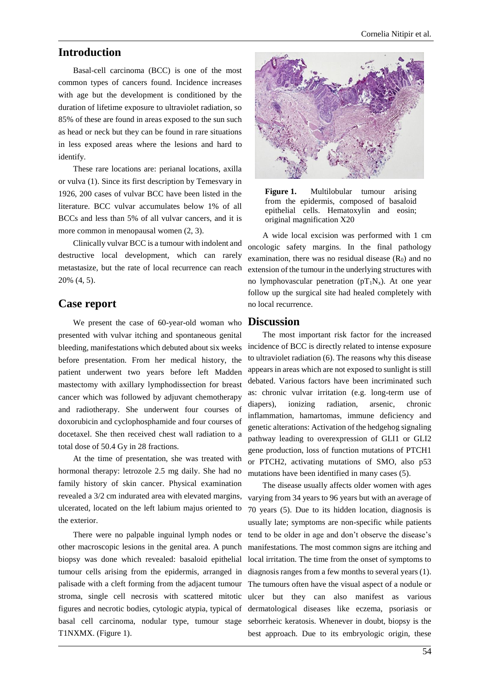### **Introduction**

Basal-cell carcinoma (BCC) is one of the most common types of cancers found. Incidence increases with age but the development is conditioned by the duration of lifetime exposure to ultraviolet radiation, so 85% of these are found in areas exposed to the sun such as head or neck but they can be found in rare situations in less exposed areas where the lesions and hard to identify.

These rare locations are: perianal locations, axilla or vulva (1). Since its first description by Temesvary in 1926, 200 cases of vulvar BCC have been listed in the literature. BCC vulvar accumulates below 1% of all BCCs and less than 5% of all vulvar cancers, and it is more common in menopausal women (2, 3).

Clinically vulvar BCC is a tumour with indolent and destructive local development, which can rarely metastasize, but the rate of local recurrence can reach 20% (4, 5).

### **Case report**

We present the case of 60-year-old woman who presented with vulvar itching and spontaneous genital bleeding, manifestations which debuted about six weeks before presentation. From her medical history, the patient underwent two years before left Madden mastectomy with axillary lymphodissection for breast cancer which was followed by adjuvant chemotherapy and radiotherapy. She underwent four courses of doxorubicin and cyclophosphamide and four courses of docetaxel. She then received chest wall radiation to a total dose of 50.4 Gy in 28 fractions.

At the time of presentation, she was treated with hormonal therapy: letrozole 2.5 mg daily. She had no family history of skin cancer. Physical examination revealed a 3/2 cm indurated area with elevated margins, ulcerated, located on the left labium majus oriented to the exterior.

other macroscopic lesions in the genital area. A punch biopsy was done which revealed: basaloid epithelial tumour cells arising from the epidermis, arranged in palisade with a cleft forming from the adjacent tumour stroma, single cell necrosis with scattered mitotic figures and necrotic bodies, cytologic atypia, typical of T1NXMX. (Figure 1).



**Figure 1.** Multilobular tumour arising from the epidermis, composed of basaloid epithelial cells. Hematoxylin and eosin; original magnification X20

A wide local excision was performed with 1 cm oncologic safety margins. In the final pathology examination, there was no residual disease  $(R_0)$  and no extension of the tumour in the underlying structures with no lymphovascular penetration ( $pT_1N_x$ ). At one year follow up the surgical site had healed completely with no local recurrence.

#### **Discussion**

The most important risk factor for the increased incidence of BCC is directly related to intense exposure to ultraviolet radiation (6). The reasons why this disease appears in areas which are not exposed to sunlight is still debated. Various factors have been incriminated such as: chronic vulvar irritation (e.g. long-term use of diapers), ionizing radiation, arsenic, chronic inflammation, hamartomas, immune deficiency and genetic alterations: Activation of the hedgehog signaling pathway leading to overexpression of GLI1 or GLI2 gene production, loss of function mutations of PTCH1 or PTCH2, activating mutations of SMO, also p53 mutations have been identified in many cases (5).

There were no palpable inguinal lymph nodes or tend to be older in age and don't observe the disease's basal cell carcinoma, nodular type, tumour stage seborrheic keratosis. Whenever in doubt, biopsy is the The disease usually affects older women with ages varying from 34 years to 96 years but with an average of 70 years (5). Due to its hidden location, diagnosis is usually late; symptoms are non-specific while patients manifestations. The most common signs are itching and local irritation. The time from the onset of symptoms to diagnosis ranges from a few months to several years (1). The tumours often have the visual aspect of a nodule or ulcer but they can also manifest as various dermatological diseases like eczema, psoriasis or best approach. Due to its embryologic origin, these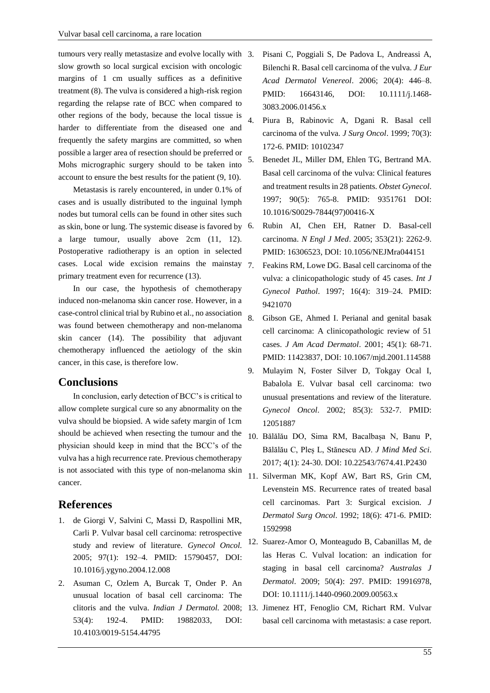tumours very really metastasize and evolve locally with 3. slow growth so local surgical excision with oncologic margins of 1 cm usually suffices as a definitive treatment (8). The vulva is considered a high-risk region regarding the relapse rate of BCC when compared to other regions of the body, because the local tissue is harder to differentiate from the diseased one and frequently the safety margins are committed, so when possible a larger area of resection should be preferred or Mohs micrographic surgery should to be taken into account to ensure the best results for the patient (9, 10).

Metastasis is rarely encountered, in under 0.1% of cases and is usually distributed to the inguinal lymph nodes but tumoral cells can be found in other sites such as skin, bone or lung. The systemic disease is favored by a large tumour, usually above 2cm (11, 12). Postoperative radiotherapy is an option in selected cases. Local wide excision remains the mainstay primary treatment even for recurrence (13).

In our case, the hypothesis of chemotherapy induced non-melanoma skin cancer rose. However, in a case-control clinical trial by Rubino et al., no association was found between chemotherapy and non-melanoma skin cancer (14). The possibility that adjuvant chemotherapy influenced the aetiology of the skin cancer, in this case, is therefore low.

### **Conclusions**

In conclusion, early detection of BCC's is critical to allow complete surgical cure so any abnormality on the vulva should be biopsied. A wide safety margin of 1cm should be achieved when resecting the tumour and the physician should keep in mind that the BCC's of the vulva has a high recurrence rate. Previous chemotherapy is not associated with this type of non-melanoma skin cancer.

### **References**

- 1. de Giorgi V, Salvini C, Massi D, Raspollini MR, Carli P. Vulvar basal cell carcinoma: retrospective study and review of literature. *Gynecol Oncol.* 2005; 97(1): 192–4. PMID: 15790457, DOI: 10.1016/j.ygyno.2004.12.008
- 2. Asuman C, Ozlem A, Burcak T, Onder P. An unusual location of basal cell carcinoma: The clitoris and the vulva. *Indian J Dermatol.* 2008; 53(4): 192-4. PMID: 19882033, DOI: 10.4103/0019-5154.44795
- 3. Pisani C, Poggiali S, De Padova L, Andreassi A, Bilenchi R. Basal cell carcinoma of the vulva. *J Eur Acad Dermatol Venereol*. 2006; 20(4): 446–8. PMID: 16643146, DOI: 10.1111/j.1468-3083.2006.01456.x
- 4. Piura B, Rabinovic A, Dgani R. Basal cell carcinoma of the vulva. *J Surg Oncol*. 1999; 70(3): 172-6. PMID: 10102347
- 5. Benedet JL, Miller DM, Ehlen TG, Bertrand MA. Basal cell carcinoma of the vulva: Clinical features and treatment results in 28 patients. *Obstet Gynecol*. 1997; 90(5): 765-8. PMID: 9351761 DOI: 10.1016/S0029-7844(97)00416-X
- 6. Rubin AI, Chen EH, Ratner D. Basal-cell carcinoma. *N Engl J Med*. 2005; 353(21): 2262-9. PMID: 16306523, DOI: 10.1056/NEJMra044151
- Feakins RM, Lowe DG. Basal cell carcinoma of the vulva: a clinicopathologic study of 45 cases. *Int J Gynecol Pathol*. 1997; 16(4): 319–24. PMID: 9421070
- 8. Gibson GE, Ahmed I. Perianal and genital basak cell carcinoma: A clinicopathologic review of 51 cases. *J Am Acad Dermatol*. 2001; 45(1): 68-71. PMID: 11423837, DOI: 10.1067/mjd.2001.114588
- 9. Mulayim N, Foster Silver D, Tokgay Ocal I, Babalola E. Vulvar basal cell carcinoma: two unusual presentations and review of the literature. *Gynecol Oncol*. 2002; 85(3): 532-7. PMID: 12051887
- 10. Bălălău DO, Sima RM, Bacalbașa N, Banu P, Bălălău C, Pleș L, Stănescu AD. *J Mind Med Sci*. 2017; 4(1): 24-30. DOI: 10.22543/7674.41.P2430
- 11. Silverman MK, Kopf AW, Bart RS, Grin CM, Levenstein MS. Recurrence rates of treated basal cell carcinomas. Part 3: Surgical excision. *J Dermatol Surg Oncol*. 1992; 18(6): 471-6. PMID: 1592998
- 12. Suarez-Amor O, Monteagudo B, Cabanillas M, de las Heras C. Vulval location: an indication for staging in basal cell carcinoma? *Australas J Dermatol*. 2009; 50(4): 297. PMID: 19916978, DOI: 10.1111/j.1440-0960.2009.00563.x
- 13. Jimenez HT, Fenoglio CM, Richart RM. Vulvar basal cell carcinoma with metastasis: a case report.